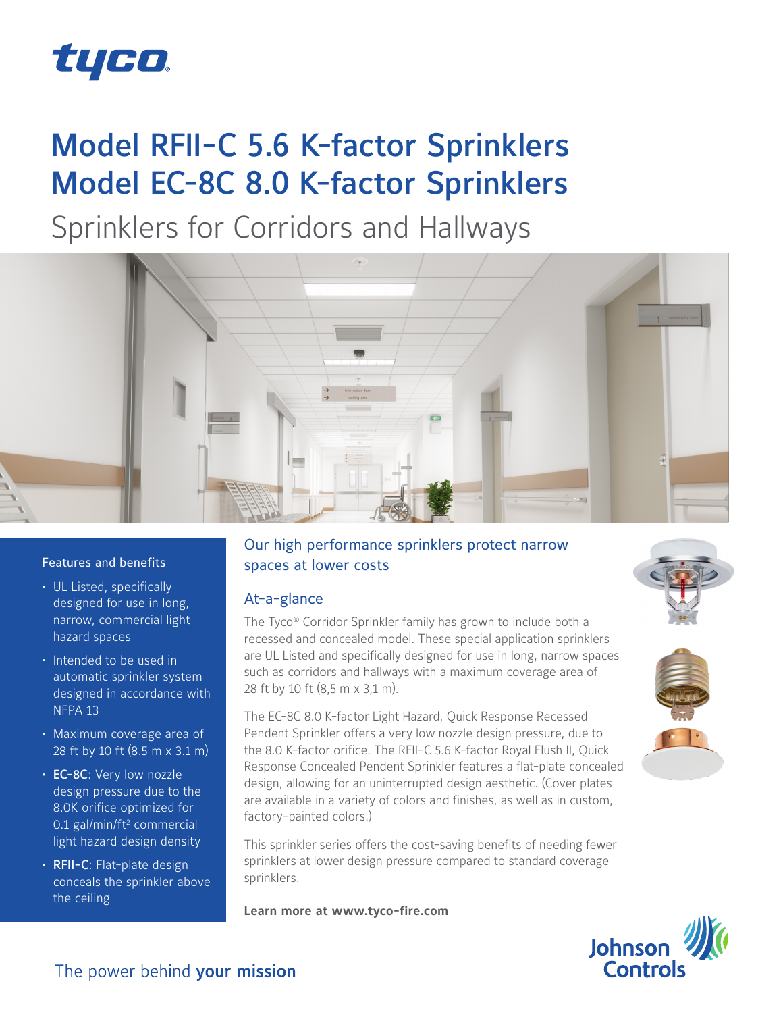

# Model RFII-C 5.6 K-factor Sprinklers Model EC-8C 8.0 K-factor Sprinklers

Sprinklers for Corridors and Hallways



### Features and benefits

- UL Listed, specifically designed for use in long, narrow, commercial light hazard spaces
- Intended to be used in automatic sprinkler system designed in accordance with NFPA 13
- Maximum coverage area of 28 ft by 10 ft (8.5 m x 3.1 m)
- EC-8C: Very low nozzle design pressure due to the 8.0K orifice optimized for 0.1 gal/min/ft<sup>2</sup> commercial light hazard design density
- RFII-C: Flat-plate design conceals the sprinkler above the ceiling

## Our high performance sprinklers protect narrow spaces at lower costs

## At-a-glance

The Tyco® Corridor Sprinkler family has grown to include both a recessed and concealed model. These special application sprinklers are UL Listed and specifically designed for use in long, narrow spaces such as corridors and hallways with a maximum coverage area of 28 ft by 10 ft (8,5 m x 3,1 m).

The EC-8C 8.0 K-factor Light Hazard, Quick Response Recessed Pendent Sprinkler offers a very low nozzle design pressure, due to the 8.0 K-factor orifice. The RFII-C 5.6 K-factor Royal Flush II, Quick Response Concealed Pendent Sprinkler features a flat-plate concealed design, allowing for an uninterrupted design aesthetic. (Cover plates are available in a variety of colors and finishes, as well as in custom, factory-painted colors.)

This sprinkler series offers the cost-saving benefits of needing fewer sprinklers at lower design pressure compared to standard coverage sprinklers.

**Learn more at www.tyco-fire.com**